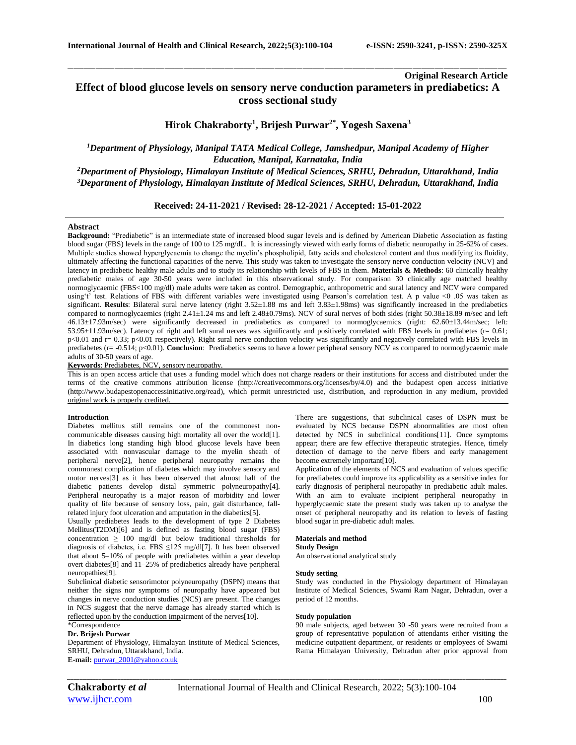## **Original Research Article Effect of blood glucose levels on sensory nerve conduction parameters in prediabetics: A cross sectional study**

\_\_\_\_\_\_\_\_\_\_\_\_\_\_\_\_\_\_\_\_\_\_\_\_\_\_\_\_\_\_\_\_\_\_\_\_\_\_\_\_\_\_\_\_\_\_\_\_\_\_\_\_\_\_\_\_\_\_\_\_\_\_\_\_\_\_\_\_\_\_\_\_\_\_\_\_\_\_\_\_\_\_\_\_\_\_\_\_\_\_\_\_\_\_\_\_\_\_\_\_\_\_\_\_\_\_\_\_\_\_\_\_\_\_\_\_\_\_\_\_\_\_\_\_\_\_\_\_\_\_\_\_\_\_\_\_\_\_\_\_

**Hirok Chakraborty<sup>1</sup> , Brijesh Purwar2\* , Yogesh Saxena<sup>3</sup>**

*<sup>1</sup>Department of Physiology, Manipal TATA Medical College, Jamshedpur, Manipal Academy of Higher Education, Manipal, Karnataka, India <sup>2</sup>Department of Physiology, Himalayan Institute of Medical Sciences, SRHU, Dehradun, Uttarakhand, India*

*<sup>3</sup>Department of Physiology, Himalayan Institute of Medical Sciences, SRHU, Dehradun, Uttarakhand, India*

**Received: 24-11-2021 / Revised: 28-12-2021 / Accepted: 15-01-2022**

## **Abstract**

**Background:** "Prediabetic" is an intermediate state of increased blood sugar levels and is defined by American Diabetic Association as fasting blood sugar (FBS) levels in the range of 100 to 125 mg/dL. It is increasingly viewed with early forms of diabetic neuropathy in 25-62% of cases. Multiple studies showed hyperglycaemia to change the myelin's phospholipid, fatty acids and cholesterol content and thus modifying its fluidity, ultimately affecting the functional capacities of the nerve. This study was taken to investigate the sensory nerve conduction velocity (NCV) and latency in prediabetic healthy male adults and to study its relationship with levels of FBS in them. **Materials & Methods**: 60 clinically healthy prediabetic males of age 30-50 years were included in this observational study. For comparison 30 clinically age matched healthy normoglycaemic (FBS<100 mg/dl) male adults were taken as control. Demographic, anthropometric and sural latency and NCV were compared using't' test. Relations of FBS with different variables were investigated using Pearson's correlation test. A p value <0 .05 was taken as significant. Results: Bilateral sural nerve latency (right  $3.52 \pm 1.88$  ms and left  $3.83 \pm 1.98$ ms) was significantly increased in the prediabetics compared to normoglycaemics (right 2.41±1.24 ms and left 2.48±0.79ms). NCV of sural nerves of both sides (right 50.38±18.89 m/sec and left 46.13±17.93m/sec) were significantly decreased in prediabetics as compared to normoglycaemics (right: 62.60±13.44m/sec; left: 53.95±11.93m/sec). Latency of right and left sural nerves was significantly and positively correlated with FBS levels in prediabetes (r= 0.61; p<0.01 and r= 0.33; p<0.01 respectively). Right sural nerve conduction velocity was significantly and negatively correlated with FBS levels in prediabetes (r= -0.514; p<0.01). **Conclusion**: Prediabetics seems to have a lower peripheral sensory NCV as compared to normoglycaemic male adults of 30-50 years of age.

**Keywords**: Prediabetes, NCV, sensory neuropathy.

This is an open access article that uses a funding model which does not charge readers or their institutions for access and distributed under the terms of the creative commons attribution license (http://creativecommons.org/licenses/by/4.0) and the budapest open access initiative (http://www.budapestopenaccessinitiative.org/read), which permit unrestricted use, distribution, and reproduction in any medium, provided original work is properly credited.

#### **Introduction**

Diabetes mellitus still remains one of the commonest noncommunicable diseases causing high mortality all over the world[1]. In diabetics long standing high blood glucose levels have been associated with nonvascular damage to the myelin sheath of peripheral nerve[2], hence peripheral neuropathy remains the commonest complication of diabetes which may involve sensory and motor nerves[3] as it has been observed that almost half of the diabetic patients develop distal symmetric polyneuropathy[4]. Peripheral neuropathy is a major reason of morbidity and lower quality of life because of sensory loss, pain, gait disturbance, fallrelated injury foot ulceration and amputation in the diabetics[5].

Usually prediabetes leads to the development of type 2 Diabetes Mellitus(T2DM)[6] and is defined as fasting blood sugar (FBS) concentration  $\geq 100$  mg/dl but below traditional thresholds for diagnosis of diabetes, i.e. FBS ≤125 mg/dl[7]. It has been observed that about 5–10% of people with prediabetes within a year develop overt diabetes[8] and 11–25% of prediabetics already have peripheral neuropathies[9].

Subclinical diabetic sensorimotor polyneuropathy (DSPN) means that neither the signs nor symptoms of neuropathy have appeared but changes in nerve conduction studies (NCS) are present. The changes in NCS suggest that the nerve damage has already started which is reflected upon by the conduction impairment of the nerves[10].

# \*Correspondence

## **Dr. Brijesh Purwar**

Department of Physiology, Himalayan Institute of Medical Sciences, SRHU, Dehradun, Uttarakhand, India. **E-mail:** [purwar\\_2001@yahoo.co.uk](mailto:purwar_2001@yahoo.co.uk)

There are suggestions, that subclinical cases of DSPN must be evaluated by NCS because DSPN abnormalities are most often detected by NCS in subclinical conditions[11]. Once symptoms appear; there are few effective therapeutic strategies. Hence, timely detection of damage to the nerve fibers and early management become extremely important[10].

Application of the elements of NCS and evaluation of values specific for prediabetes could improve its applicability as a sensitive index for early diagnosis of peripheral neuropathy in prediabetic adult males. With an aim to evaluate incipient peripheral neuropathy in hyperglycaemic state the present study was taken up to analyse the onset of peripheral neuropathy and its relation to levels of fasting blood sugar in pre-diabetic adult males.

#### **Materials and method**

**Study Design** An observational analytical study

#### **Study setting**

Study was conducted in the Physiology department of Himalayan Institute of Medical Sciences, Swami Ram Nagar, Dehradun, over a period of 12 months.

#### **Study population**

90 male subjects, aged between 30 -50 years were recruited from a group of representative population of attendants either visiting the medicine outpatient department, or residents or employees of Swami Rama Himalayan University, Dehradun after prior approval from

[www.ijhcr.com](http://www.ijhcr.com/) 100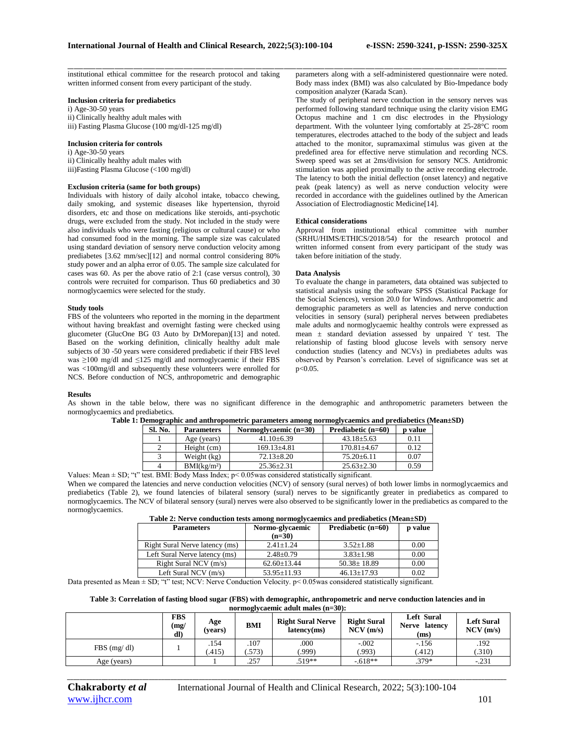\_\_\_\_\_\_\_\_\_\_\_\_\_\_\_\_\_\_\_\_\_\_\_\_\_\_\_\_\_\_\_\_\_\_\_\_\_\_\_\_\_\_\_\_\_\_\_\_\_\_\_\_\_\_\_\_\_\_\_\_\_\_\_\_\_\_\_\_\_\_\_\_\_\_\_\_\_\_\_\_\_\_\_\_\_\_\_\_\_\_\_\_\_\_\_\_\_\_\_\_\_\_\_\_\_\_\_\_\_\_\_\_\_\_\_\_\_\_\_\_\_\_\_\_\_\_\_\_\_\_\_\_\_\_\_\_\_\_\_\_ institutional ethical committee for the research protocol and taking written informed consent from every participant of the study.

#### **Inclusion criteria for prediabetics**

i) Age-30-50 years ii) Clinically healthy adult males with iii) Fasting Plasma Glucose (100 mg/dl-125 mg/dl)

#### **Inclusion criteria for controls**

i) Age-30-50 years ii) Clinically healthy adult males with iii)Fasting Plasma Glucose (<100 mg/dl)

## **Exclusion criteria (same for both groups)**

Individuals with history of daily alcohol intake, tobacco chewing, daily smoking, and systemic diseases like hypertension, thyroid disorders, etc and those on medications like steroids, anti-psychotic drugs, were excluded from the study. Not included in the study were also individuals who were fasting (religious or cultural cause) or who had consumed food in the morning. The sample size was calculated using standard deviation of sensory nerve conduction velocity among prediabetes [3.62 mm/sec][12] and normal control considering 80% study power and an alpha error of 0.05. The sample size calculated for cases was 60. As per the above ratio of 2:1 (case versus control), 30 controls were recruited for comparison. Thus 60 prediabetics and 30 normoglycaemics were selected for the study.

### **Study tools**

FBS of the volunteers who reported in the morning in the department without having breakfast and overnight fasting were checked using glucometer (GlucOne BG 03 Auto by DrMorepan)[13] and noted. Based on the working definition, clinically healthy adult male subjects of 30 -50 years were considered prediabetic if their FBS level was ≥100 mg/dl and ≤125 mg/dl and normoglycaemic if their FBS was <100mg/dl and subsequently these volunteers were enrolled for NCS. Before conduction of NCS, anthropometric and demographic

parameters along with a self-administered questionnaire were noted. Body mass index (BMI) was also calculated by Bio-Impedance body composition analyzer (Karada Scan).

The study of peripheral nerve conduction in the sensory nerves was performed following standard technique using the clarity vision EMG Octopus machine and 1 cm disc electrodes in the Physiology department. With the volunteer lying comfortably at 25-28°C room temperatures, electrodes attached to the body of the subject and leads attached to the monitor, supramaximal stimulus was given at the predefined area for effective nerve stimulation and recording NCS. Sweep speed was set at 2ms/division for sensory NCS. Antidromic stimulation was applied proximally to the active recording electrode. The latency to both the initial deflection (onset latency) and negative peak (peak latency) as well as nerve conduction velocity were recorded in accordance with the guidelines outlined by the American Association of Electrodiagnostic Medicine[14].

### **Ethical considerations**

Approval from institutional ethical committee with number (SRHU/HIMS/ETHICS/2018/54) for the research protocol and written informed consent from every participant of the study was taken before initiation of the study.

### **Data Analysis**

To evaluate the change in parameters, data obtained was subjected to statistical analysis using the software SPSS (Statistical Package for the Social Sciences), version 20.0 for Windows. Anthropometric and demographic parameters as well as latencies and nerve conduction velocities in sensory (sural) peripheral nerves between prediabetes male adults and normoglycaemic healthy controls were expressed as mean ± standard deviation assessed by unpaired 't' test. The relationship of fasting blood glucose levels with sensory nerve conduction studies (latency and NCVs) in prediabetes adults was observed by Pearson's correlation. Level of significance was set at p<0.05.

#### **Results**

As shown in the table below, there was no significant difference in the demographic and anthropometric parameters between the normoglycaemics and prediabetics.

| Sl. No. | <b>Parameters</b>       | Normoglycaemic (n=30) | Prediabetic (n=60) | p value |
|---------|-------------------------|-----------------------|--------------------|---------|
|         | Age (years)             | $41.10 + 6.39$        | $43.18 + 5.63$     | 0.11    |
|         | Height (cm)             | $169.13{\pm}4.81$     | $170.81 + 4.67$    | 0.12    |
|         | Weight (kg)             | $72.13 \pm 8.20$      | $75.20 \pm 6.11$   | 0.07    |
|         | BMI(kg/m <sup>2</sup> ) | $25.36 \pm 2.31$      | $25.63 \pm 2.30$   | 0.59    |

**Table 1: Demographic and anthropometric parameters among normoglycaemics and prediabetics (Mean±SD)**

Values: Mean ± SD; "t" test. BMI: Body Mass Index; p< 0.05was considered statistically significant. When we compared the latencies and nerve conduction velocities (NCV) of sensory (sural nerves) of both lower limbs in normoglycaemics and prediabetics (Table 2), we found latencies of bilateral sensory (sural) nerves to be significantly greater in prediabetics as compared to normoglycaemics. The NCV of bilateral sensory (sural) nerves were also observed to be significantly lower in the prediabetics as compared to the normoglycaemics.

| Table 2: Nerve conduction tests among normoglycaemics and prediabetics (Mean±SD) |  |
|----------------------------------------------------------------------------------|--|
|----------------------------------------------------------------------------------|--|

| <b>Parameters</b>              | Normo-glycaemic<br>$(n=30)$ | Prediabetic (n=60) |      |
|--------------------------------|-----------------------------|--------------------|------|
| Right Sural Nerve latency (ms) | $2.41 + 1.24$               | $3.52 \pm 1.88$    | 0.00 |
| Left Sural Nerve latency (ms)  | $2.48 \pm 0.79$             | $3.83 \pm 1.98$    | 0.00 |
| Right Sural NCV $(m/s)$        | $62.60 \pm 13.44$           | $50.38 \pm 18.89$  | 0.00 |
| Left Sural NCV $(m/s)$         | $53.95 \pm 11.93$           | $46.13 \pm 17.93$  | 0.02 |

Data presented as Mean ± SD; "t" test; NCV: Nerve Conduction Velocity. p< 0.05was considered statistically significant.

#### **Table 3: Correlation of fasting blood sugar (FBS) with demographic, anthropometric and nerve conduction latencies and in normoglycaemic adult males (n=30):**

|               | <b>FBS</b><br>(mg)<br>dl) | Age<br>(vears) | BMI           | <b>Right Sural Nerve</b><br>latency(ms) | <b>Right Sural</b><br>NCV(m/s) | Left Sural<br>Nerve latency<br>(ms) | <b>Left Sural</b><br>NCV(m/s) |
|---------------|---------------------------|----------------|---------------|-----------------------------------------|--------------------------------|-------------------------------------|-------------------------------|
| $FBS$ (mg/dl) |                           | .154<br>.415)  | .107<br>.573) | .000<br>.999)                           | $-.002$<br>.993)               | $-.156$<br>(.412)                   | .192<br>(.310)                |
| Age (years)   |                           |                | .257          | $.519**$                                | $-.618**$                      | $.379*$                             | $-.231$                       |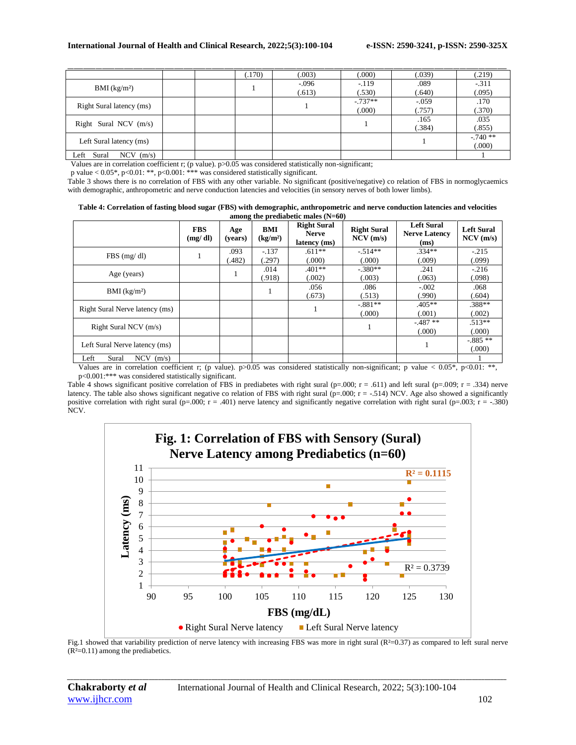|                              |  | (.170) | (.003)  | (.000)    | (.039)  | (.219)   |
|------------------------------|--|--------|---------|-----------|---------|----------|
| $BMI$ (kg/m <sup>2</sup> )   |  |        | $-.096$ | $-.119$   | .089    | $-.311$  |
|                              |  |        | (.613)  | (.530)    | (.640)  | (.095)   |
|                              |  |        |         | $-.737**$ | $-.059$ | .170     |
| Right Sural latency (ms)     |  |        |         | (000)     | (.757)  | (.370)   |
| Right Sural NCV $(m/s)$      |  |        |         |           | .165    | .035     |
|                              |  |        |         |           | (.384)  | (.855)   |
|                              |  |        |         |           |         | $-740**$ |
| Left Sural latency (ms)      |  |        |         |           |         | (.000)   |
| Sural<br>$NCV$ (m/s)<br>Left |  |        |         |           |         |          |

Values are in correlation coefficient r; (p value). p>0.05 was considered statistically non-significant;

p value < 0.05\*, p<0.01: \*\*, p<0.001: \*\*\* was considered statistically significant.

Table 3 shows there is no correlation of FBS with any other variable. No significant (positive/negative) co relation of FBS in normoglycaemics with demographic, anthropometric and nerve conduction latencies and velocities (in sensory nerves of both lower limbs).

| Table 4: Correlation of fasting blood sugar (FBS) with demographic, anthropometric and nerve conduction latencies and velocities |  |
|----------------------------------------------------------------------------------------------------------------------------------|--|
| among the prediabetic males $(N=60)$                                                                                             |  |

|                                | <b>FBS</b><br>(mg/dl) | Age<br>(vears) | BMI<br>(kg/m <sup>2</sup> ) | <b>Right Sural</b><br><b>Nerve</b><br>latency (ms) | <b>Right Sural</b><br>NCV(m/s) | <b>Left Sural</b><br><b>Nerve Latency</b><br>(ms) | <b>Left Sural</b><br>NCV(m/s) |
|--------------------------------|-----------------------|----------------|-----------------------------|----------------------------------------------------|--------------------------------|---------------------------------------------------|-------------------------------|
| $FBS$ (mg/dl)                  |                       | .093<br>(482)  | $-.137$<br>(.297)           | $.611**$<br>(.000)                                 | $-.514**$<br>(000)             | $.334**$<br>(009)                                 | $-215$<br>(.099)              |
| Age (years)                    |                       |                | .014<br>(.918)              | $.401**$<br>(.002)                                 | $-.380**$<br>.003)             | .241<br>063                                       | $-216$<br>(.098)              |
| BMI $(kg/m2)$                  |                       |                | 1                           | .056<br>(.673)                                     | .086<br>(.513)                 | $-.002$<br>(.990)                                 | .068<br>(.604)                |
| Right Sural Nerve latency (ms) |                       |                |                             |                                                    | $-.881**$<br>(.000)            | $.405**$<br>(.001)                                | .388**<br>(.002)              |
| Right Sural NCV $(m/s)$        |                       |                |                             |                                                    |                                | $-.487**$<br>000(                                 | $.513**$<br>(.000)            |
| Left Sural Nerve latency (ms)  |                       |                |                             |                                                    |                                |                                                   | $-0.885**$<br>(.000)          |
| Left<br>Sural<br>$NCV$ (m/s)   |                       |                |                             |                                                    |                                |                                                   |                               |

Values are in correlation coefficient r; (p value).  $p > 0.05$  was considered statistically non-significant; p value  $< 0.05$ ,  $p < 0.01$ : \*\*, p<0.001:\*\*\* was considered statistically significant.

Table 4 shows significant positive correlation of FBS in prediabetes with right sural (p=.000; r = .611) and left sural (p=.009; r = .334) nerve latency. The table also shows significant negative co relation of FBS with right sural ( $p=000$ ;  $r = -.514$ ) NCV. Age also showed a significantly positive correlation with right sural (p=.000; r = .401) nerve latency and significantly negative correlation with right sural (p=.003; r = -.380) NCV.



Fig.1 showed that variability prediction of nerve latency with increasing FBS was more in right sural (R<sup>2</sup>=0.37) as compared to left sural nerve  $(R<sup>2</sup>=0.11)$  among the prediabetics.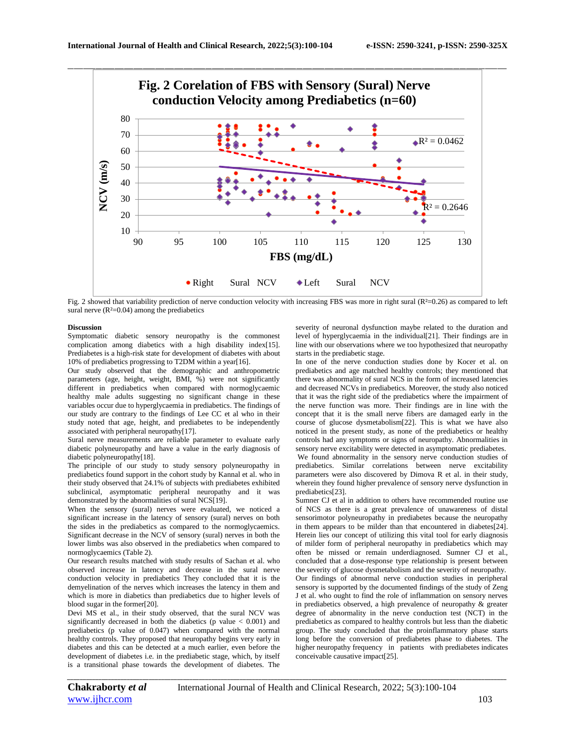

Fig. 2 showed that variability prediction of nerve conduction velocity with increasing FBS was more in right sural  $(R<sup>2</sup>=0.26)$  as compared to left sural nerve  $(R<sup>2</sup>=0.04)$  among the prediabetics

#### **Discussion**

Symptomatic diabetic sensory neuropathy is the commonest complication among diabetics with a high disability index[15]. Prediabetes is a high-risk state for development of diabetes with about 10% of prediabetics progressing to T2DM within a year[16].

Our study observed that the demographic and anthropometric parameters (age, height, weight, BMI, %) were not significantly different in prediabetics when compared with normoglycaemic healthy male adults suggesting no significant change in these variables occur due to hyperglycaemia in prediabetics. The findings of our study are contrary to the findings of Lee CC et al who in their study noted that age, height, and prediabetes to be independently associated with peripheral neuropathy[17].

Sural nerve measurements are reliable parameter to evaluate early diabetic polyneuropathy and have a value in the early diagnosis of diabetic polyneuropathy[18].

The principle of our study to study sensory polyneuropathy in prediabetics found support in the cohort study by Kannal et al. who in their study observed that 24.1% of subjects with prediabetes exhibited subclinical, asymptomatic peripheral neuropathy and it was demonstrated by the abnormalities of sural NCS[19].

When the sensory (sural) nerves were evaluated, we noticed a significant increase in the latency of sensory (sural) nerves on both the sides in the prediabetics as compared to the normoglycaemics. Significant decrease in the NCV of sensory (sural) nerves in both the lower limbs was also observed in the prediabetics when compared to normoglycaemics (Table 2).

Our research results matched with study results of Sachan et al. who observed increase in latency and decrease in the sural nerve conduction velocity in prediabetics They concluded that it is the demyelination of the nerves which increases the latency in them and which is more in diabetics than prediabetics due to higher levels of blood sugar in the former[20].

Devi MS et al., in their study observed, that the sural NCV was significantly decreased in both the diabetics (p value  $< 0.001$ ) and prediabetics (p value of 0.047) when compared with the normal healthy controls. They proposed that neuropathy begins very early in diabetes and this can be detected at a much earlier, even before the development of diabetes i.e. in the prediabetic stage, which, by itself is a transitional phase towards the development of diabetes. The

severity of neuronal dysfunction maybe related to the duration and level of hyperglycaemia in the individual[21]. Their findings are in line with our observations where we too hypothesized that neuropathy starts in the prediabetic stage.

In one of the nerve conduction studies done by Kocer et al. on prediabetics and age matched healthy controls; they mentioned that there was abnormality of sural NCS in the form of increased latencies and decreased NCVs in prediabetics. Moreover, the study also noticed that it was the right side of the prediabetics where the impairment of the nerve function was more. Their findings are in line with the concept that it is the small nerve fibers are damaged early in the course of glucose dysmetabolism[22]. This is what we have also noticed in the present study, as none of the prediabetics or healthy controls had any symptoms or signs of neuropathy. Abnormalities in sensory nerve excitability were detected in asymptomatic prediabetes. We found abnormality in the sensory nerve conduction studies of prediabetics. Similar correlations between nerve excitability parameters were also discovered by Dimova R et al. in their study, wherein they found higher prevalence of sensory nerve dysfunction in prediabetics[23].

Sumner CJ et al in addition to others have recommended routine use of NCS as there is a great prevalence of unawareness of distal sensorimotor polyneuropathy in prediabetes because the neuropathy in them appears to be milder than that encountered in diabetes[24]. Herein lies our concept of utilizing this vital tool for early diagnosis of milder form of peripheral neuropathy in prediabetics which may often be missed or remain underdiagnosed. Sumner CJ et al., concluded that a dose-response type relationship is present between the severity of glucose dysmetabolism and the severity of neuropathy. Our findings of abnormal nerve conduction studies in peripheral sensory is supported by the documented findings of the study of Zeng J et al. who ought to find the role of inflammation on sensory nerves in prediabetics observed, a high prevalence of neuropathy & greater degree of abnormality in the nerve conduction test (NCT) in the prediabetics as compared to healthy controls but less than the diabetic group. The study concluded that the proinflammatory phase starts long before the conversion of prediabetes phase to diabetes. The higher neuropathy frequency in patients with prediabetes indicates conceivable causative impact[25].